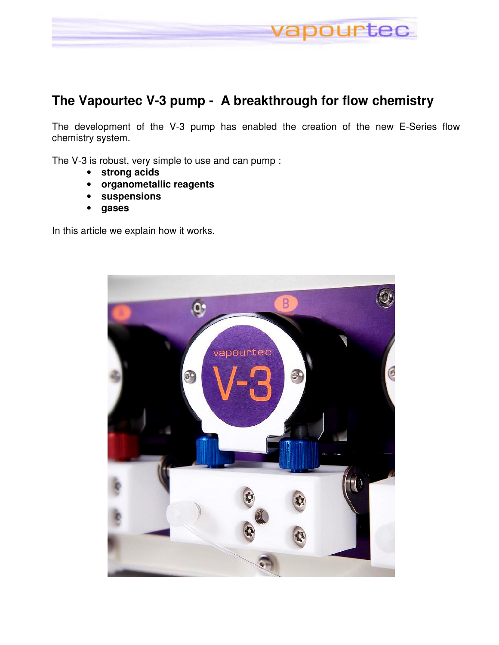

### **The Vapourtec V-3 pump - A breakthrough for flow chemistry**

The development of the V-3 pump has enabled the creation of the new E-Series flow chemistry system.

The V-3 is robust, very simple to use and can pump :

- **strong acids**
- **organometallic reagents**
- **suspensions**
- **gases**

In this article we explain how it works.

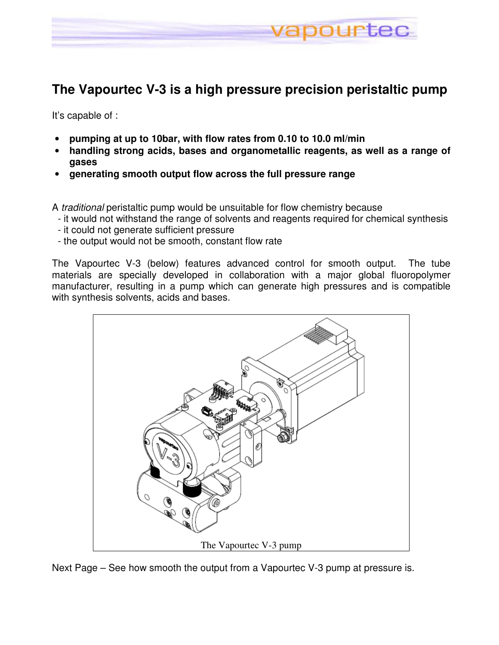

# **The Vapourtec V-3 is a high pressure precision peristaltic pump**

It's capable of :

- **pumping at up to 10bar, with flow rates from 0.10 to 10.0 ml/min**
- **handling strong acids, bases and organometallic reagents, as well as a range of gases**
- **generating smooth output flow across the full pressure range**

A traditional peristaltic pump would be unsuitable for flow chemistry because

- it would not withstand the range of solvents and reagents required for chemical synthesis
- it could not generate sufficient pressure
- the output would not be smooth, constant flow rate

The Vapourtec V-3 (below) features advanced control for smooth output. The tube materials are specially developed in collaboration with a major global fluoropolymer manufacturer, resulting in a pump which can generate high pressures and is compatible with synthesis solvents, acids and bases.



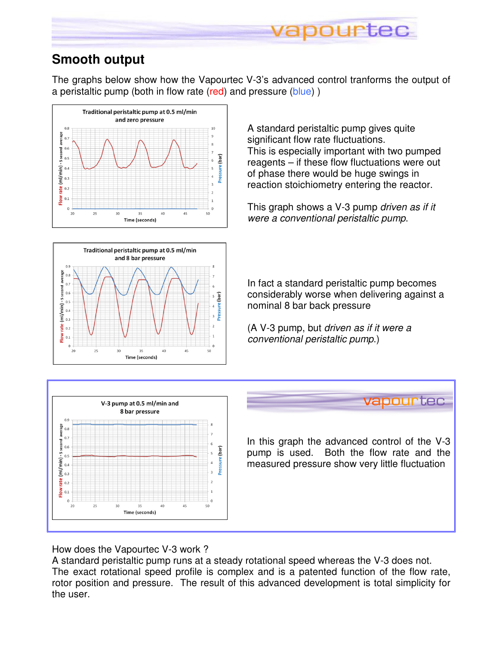

## **Smooth output**

The graphs below show how the Vapourtec V-3's advanced control tranforms the output of a peristaltic pump (both in flow rate (red) and pressure (blue))





A standard peristaltic pump gives quite significant flow rate fluctuations. This is especially important with two pumped reagents – if these flow fluctuations were out of phase there would be huge swings in reaction stoichiometry entering the reactor.

This graph shows a V-3 pump driven as if it were a conventional peristaltic pump.

In fact a standard peristaltic pump becomes considerably worse when delivering against a nominal 8 bar back pressure

(A V-3 pump, but driven as if it were a conventional peristaltic pump.)



How does the Vapourtec V-3 work ?

A standard peristaltic pump runs at a steady rotational speed whereas the V-3 does not. The exact rotational speed profile is complex and is a patented function of the flow rate, rotor position and pressure. The result of this advanced development is total simplicity for the user.